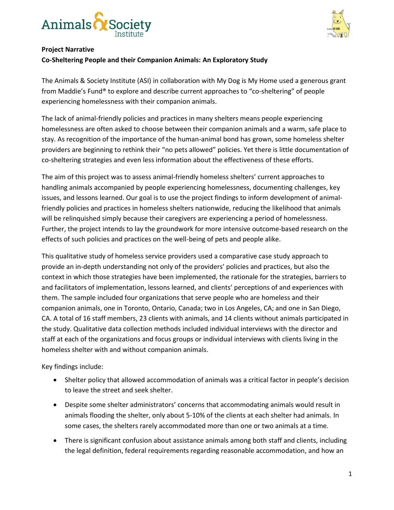



## **Project Narrative**

## **Co-Sheltering People and their Companion Animals: An Exploratory Study**

The Animals & Society Institute (ASI) in collaboration with My Dog is My Home used a generous grant from Maddie's Fund® to explore and describe current approaches to "co-sheltering" of people experiencing homelessness with their companion animals.

The lack of animal-friendly policies and practices in many shelters means people experiencing homelessness are often asked to choose between their companion animals and a warm, safe place to stay. As recognition of the importance of the human-animal bond has grown, some homeless shelter providers are beginning to rethink their "no pets allowed" policies. Yet there is little documentation of co-sheltering strategies and even less information about the effectiveness of these efforts.

The aim of this project was to assess animal-friendly homeless shelters' current approaches to handling animals accompanied by people experiencing homelessness, documenting challenges, key issues, and lessons learned. Our goal is to use the project findings to inform development of animalfriendly policies and practices in homeless shelters nationwide, reducing the likelihood that animals will be relinquished simply because their caregivers are experiencing a period of homelessness. Further, the project intends to lay the groundwork for more intensive outcome-based research on the effects of such policies and practices on the well-being of pets and people alike.

This qualitative study of homeless service providers used a comparative case study approach to provide an in-depth understanding not only of the providers' policies and practices, but also the context in which those strategies have been implemented, the rationale for the strategies, barriers to and facilitators of implementation, lessons learned, and clients' perceptions of and experiences with them. The sample included four organizations that serve people who are homeless and their companion animals, one in Toronto, Ontario, Canada; two in Los Angeles, CA; and one in San Diego, CA. A total of 16 staff members, 23 clients with animals, and 14 clients without animals participated in the study. Qualitative data collection methods included individual interviews with the director and staff at each of the organizations and focus groups or individual interviews with clients living in the homeless shelter with and without companion animals.

Key findings include:

- Shelter policy that allowed accommodation of animals was a critical factor in people's decision to leave the street and seek shelter.
- Despite some shelter administrators' concerns that accommodating animals would result in animals flooding the shelter, only about 5-10% of the clients at each shelter had animals. In some cases, the shelters rarely accommodated more than one or two animals at a time.
- There is significant confusion about assistance animals among both staff and clients, including the legal definition, federal requirements regarding reasonable accommodation, and how an